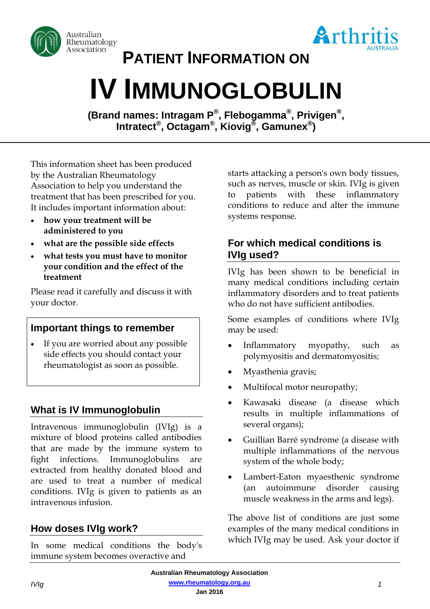



**PATIENT INFORMATION ON**

# **IV IMMUNOGLOBULIN**

**(Brand names: Intragam P® , Flebogamma® , Privigen® , Intratect® , Octagam® , Kiovig® , Gamunex® )**

This information sheet has been produced by the Australian Rheumatology Association to help you understand the treatment that has been prescribed for you. It includes important information about:

- **how your treatment will be administered to you**
- **what are the possible side effects**
- **what tests you must have to monitor your condition and the effect of the treatment**

Please read it carefully and discuss it with your doctor.

#### **Important things to remember**

 If you are worried about any possible side effects you should contact your rheumatologist as soon as possible.

## **What is IV Immunoglobulin**

Intravenous immunoglobulin (IVIg) is a mixture of blood proteins called antibodies that are made by the immune system to fight infections. Immunoglobulins are extracted from healthy donated blood and are used to treat a number of medical conditions. IVIg is given to patients as an intravenous infusion.

# **How doses IVIg work?**

In some medical conditions the body's immune system becomes overactive and

starts attacking a person's own body tissues, such as nerves, muscle or skin. IVIg is given to patients with these inflammatory conditions to reduce and alter the immune systems response.

### **For which medical conditions is IVIg used?**

IVIg has been shown to be beneficial in many medical conditions including certain inflammatory disorders and to treat patients who do not have sufficient antibodies.

Some examples of conditions where IVIg may be used:

- Inflammatory myopathy, such as polymyositis and dermatomyositis;
- Myasthenia gravis;
- Multifocal motor neuropathy;
- Kawasaki disease (a disease which results in multiple inflammations of several organs);
- Guillian Barré syndrome (a disease with multiple inflammations of the nervous system of the whole body;
- Lambert-Eaton myaesthenic syndrome (an autoimmune disorder causing muscle weakness in the arms and legs).

The above list of conditions are just some examples of the many medical conditions in which IVIg may be used. Ask your doctor if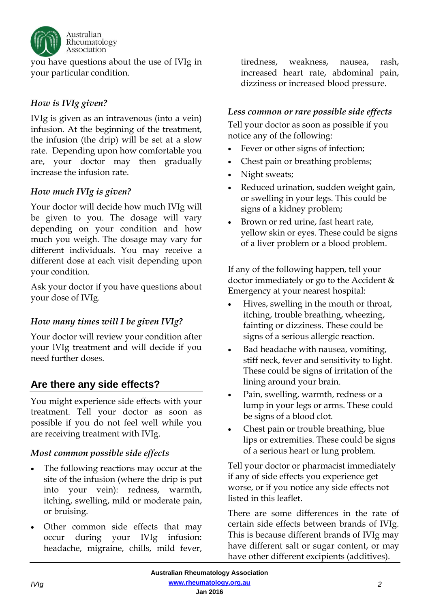

you have questions about the use of IVIg in your particular condition.

#### *How is IVIg given?*

IVIg is given as an intravenous (into a vein) infusion. At the beginning of the treatment, the infusion (the drip) will be set at a slow rate. Depending upon how comfortable you are, your doctor may then gradually increase the infusion rate.

#### *How much IVIg is given?*

Your doctor will decide how much IVIg will be given to you. The dosage will vary depending on your condition and how much you weigh. The dosage may vary for different individuals. You may receive a different dose at each visit depending upon your condition.

Ask your doctor if you have questions about your dose of IVIg.

#### *How many times will I be given IVIg?*

Your doctor will review your condition after your IVIg treatment and will decide if you need further doses.

## **Are there any side effects?**

You might experience side effects with your treatment. Tell your doctor as soon as possible if you do not feel well while you are receiving treatment with IVIg.

#### *Most common possible side effects*

- The following reactions may occur at the site of the infusion (where the drip is put into your vein): redness, warmth, itching, swelling, mild or moderate pain, or bruising.
- Other common side effects that may occur during your IVIg infusion: headache, migraine, chills, mild fever,

tiredness, weakness, nausea, rash, increased heart rate, abdominal pain, dizziness or increased blood pressure.

#### *Less common or rare possible side effects*

Tell your doctor as soon as possible if you notice any of the following:

- Fever or other signs of infection;
- Chest pain or breathing problems;
- Night sweats;
- Reduced urination, sudden weight gain, or swelling in your legs. This could be signs of a kidney problem;
- Brown or red urine, fast heart rate, yellow skin or eyes. These could be signs of a liver problem or a blood problem.

If any of the following happen, tell your doctor immediately or go to the Accident & Emergency at your nearest hospital:

- Hives, swelling in the mouth or throat, itching, trouble breathing, wheezing, fainting or dizziness. These could be signs of a serious allergic reaction.
- Bad headache with nausea, vomiting, stiff neck, fever and sensitivity to light. These could be signs of irritation of the lining around your brain.
- Pain, swelling, warmth, redness or a lump in your legs or arms. These could be signs of a blood clot.
- Chest pain or trouble breathing, blue lips or extremities. These could be signs of a serious heart or lung problem.

Tell your doctor or pharmacist immediately if any of side effects you experience get worse, or if you notice any side effects not listed in this leaflet.

There are some differences in the rate of certain side effects between brands of IVIg. This is because different brands of IVIg may have different salt or sugar content, or may have other different excipients (additives).